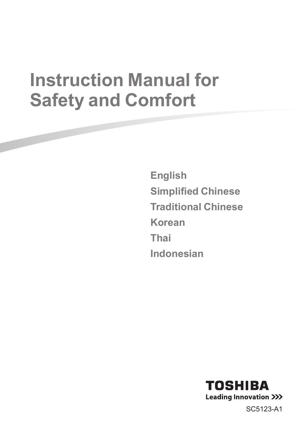# **Instruction Manual for Safety and Comfort**

**English Simplified Chinese Traditional Chinese Korean Thai Indonesian**



SC5123-A1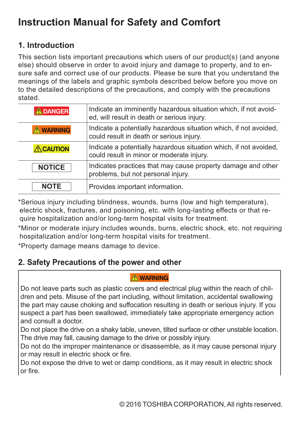# **Instruction Manual for Safety and Comfort**

### **1. Introduction**

This section lists important precautions which users of our product(s) (and anyone else) should observe in order to avoid injury and damage to property, and to ensure safe and correct use of our products. Please be sure that you understand the meanings of the labels and graphic symbols described below before you move on to the detailed descriptions of the precautions, and comply with the precautions stated.

| <b>DANGER</b>   | Indicate an imminently hazardous situation which, if not avoid-<br>ed, will result in death or serious injury. |
|-----------------|----------------------------------------------------------------------------------------------------------------|
| <b>AWARNING</b> | Indicate a potentially hazardous situation which, if not avoided,<br>could result in death or serious injury.  |
| <b>ACAUTION</b> | Indicate a potentially hazardous situation which, if not avoided,<br>could result in minor or moderate injury. |
| <b>NOTICE</b>   | Indicates practices that may cause property damage and other<br>problems, but not personal injury.             |
| <b>NOTE</b>     | Provides important information.                                                                                |

\*Serious injury including blindness, wounds, burns (low and high temperature), electric shock, fractures, and poisoning, etc. with long-lasting effects or that require hospitalization and/or long-term hospital visits for treatment.

\*Minor or moderate injury includes wounds, burns, electric shock, etc. not requiring hospitalization and/or long-term hospital visits for treatment.

\*Property damage means damage to device.

### **2. Safety Precautions of the power and other**

#### A WARNING

Do not leave parts such as plastic covers and electrical plug within the reach of children and pets. Misuse of the part including, without limitation, accidental swallowing the part may cause choking and suffocation resulting in death or serious injury. If you suspect a part has been swallowed, immediately take appropriate emergency action and consult a doctor.

Do not place the drive on a shaky table, uneven, tilted surface or other unstable location. The drive may fall, causing damage to the drive or possibly injury.

Do not do the improper maintenance or disassemble, as it may cause personal injury or may result in electric shock or fire.

Do not expose the drive to wet or damp conditions, as it may result in electric shock or fire.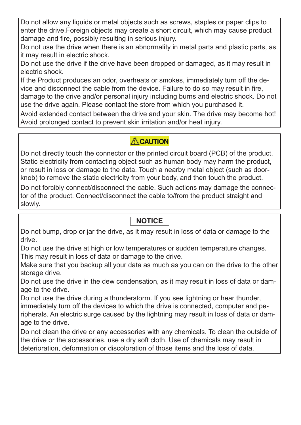Do not allow any liquids or metal objects such as screws, staples or paper clips to enter the drive.Foreign objects may create a short circuit, which may cause product damage and fire, possibly resulting in serious injury.

Do not use the drive when there is an abnormality in metal parts and plastic parts, as it may result in electric shock.

Do not use the drive if the drive have been dropped or damaged, as it may result in electric shock.

If the Product produces an odor, overheats or smokes, immediately turn off the device and disconnect the cable from the device. Failure to do so may result in fire, damage to the drive and/or personal injury including burns and electric shock. Do not use the drive again. Please contact the store from which you purchased it.

Avoid extended contact between the drive and your skin. The drive may become hot! Avoid prolonged contact to prevent skin irritation and/or heat injury.

### **ACAUTION**

Do not directly touch the connector or the printed circuit board (PCB) of the product. Static electricity from contacting object such as human body may harm the product, or result in loss or damage to the data. Touch a nearby metal object (such as doorknob) to remove the static electricity from your body, and then touch the product.

Do not forcibly connect/disconnect the cable. Such actions may damage the connector of the product. Connect/disconnect the cable to/from the product straight and slowly.

### **NOTICE**

Do not bump, drop or jar the drive, as it may result in loss of data or damage to the drive.

Do not use the drive at high or low temperatures or sudden temperature changes. This may result in loss of data or damage to the drive.

Make sure that you backup all your data as much as you can on the drive to the other storage drive.

Do not use the drive in the dew condensation, as it may result in loss of data or damage to the drive.

Do not use the drive during a thunderstorm. If you see lightning or hear thunder, immediately turn off the devices to which the drive is connected, computer and peripherals. An electric surge caused by the lightning may result in loss of data or damage to the drive.

Do not clean the drive or any accessories with any chemicals. To clean the outside of the drive or the accessories, use a dry soft cloth. Use of chemicals may result in deterioration, deformation or discoloration of those items and the loss of data.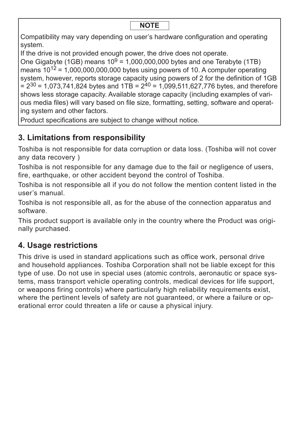Compatibility may vary depending on user's hardware configuration and operating system.

If the drive is not provided enough power, the drive does not operate.

One Gigabyte (1GB) means  $10^9$  = 1,000,000,000 bytes and one Terabyte (1TB) means  $10^{12}$  = 1,000,000,000,000 bytes using powers of 10. A computer operating system, however, reports storage capacity using powers of 2 for the definition of 1GB  $= 2^{30} = 1.073,741,824$  bytes and  $1TB = 2^{40} = 1.099,511,627,776$  bytes, and therefore shows less storage capacity. Available storage capacity (including examples of various media files) will vary based on file size, formatting, setting, software and operating system and other factors.

Product specifications are subject to change without notice.

# **3. Limitations from responsibility**

Toshiba is not responsible for data corruption or data loss. (Toshiba will not cover any data recovery )

Toshiba is not responsible for any damage due to the fail or negligence of users, fire, earthquake, or other accident beyond the control of Toshiba.

Toshiba is not responsible all if you do not follow the mention content listed in the user's manual.

Toshiba is not responsible all, as for the abuse of the connection apparatus and software.

This product support is available only in the country where the Product was originally purchased.

### **4. Usage restrictions**

This drive is used in standard applications such as office work, personal drive and household appliances. Toshiba Corporation shall not be liable except for this type of use. Do not use in special uses (atomic controls, aeronautic or space systems, mass transport vehicle operating controls, medical devices for life support, or weapons firing controls) where particularly high reliability requirements exist, where the pertinent levels of safety are not guaranteed, or where a failure or operational error could threaten a life or cause a physical injury.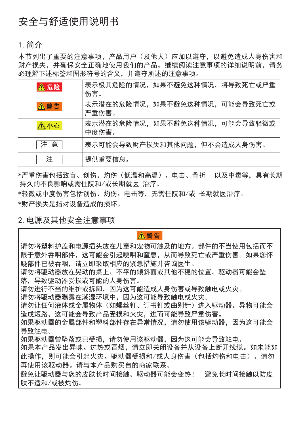# 安全与舒适使用说明书

#### 1.简介

本节列出了重要的注意事项,产品用户(及他人)应加以遵守,以避免造成人身伤害和 财产损失,并确保安全正确地使用我们的产品。继续阅读注意事项的详细说明前,请务 必理解下述标签和图形符号的含义,并遵守所述的注意事项。

| ▲危险        | 表示极其危险的情况,如果不避免这种情况,将导致死亡或严重<br>伤害。   |
|------------|---------------------------------------|
| <b>八警告</b> | 表示潜在的危险情况,如果不避免这种情况,可能会导致死亡或<br>严重伤害。 |
| △小心        | 表示潜在的危险情况,如果不避免这种情况,可能会导致轻微或<br>中度伤害。 |
| 注意         | 表示可能会导致财产损失和其他问题,但不会造成人身伤害。           |
| 注          | 提供重要信息。                               |

\*严重伤害包括致盲、创伤、灼伤(低温和高温)、电击、骨折 以及中毒等,具有长期 持久的不良影响或需住院和/或长期就医 治疗。

\*轻微或中度伤害包括创伤、灼伤、电击等,无需住院和/或 长期就医治疗。 \*财产损失是指对设备造成的损坏。

#### 2.电源及其他安全注意事项

**八警告** 

请勿将塑料护盖和电源插头放在儿童和宠物可触及的地方。部件的不当使用包括而不 限于意外吞咽部件,这可能会引起哽咽和窒息,从而导致死亡或严重伤害。如果您怀 疑部件已被吞咽,请立即采取相应的紧急措施并咨询医生。

请勿将驱动器放在晃动的桌上、不平的倾斜面或其他不稳的位置。驱动器可能会坠 落,导致驱动器受损或可能的人身伤害。

请勿进行不当的维护或拆卸,因为这可能造成人身伤害或导致触电或火灾。

请勿将驱动器曝露在潮湿环境中,因为这可能导致触电或火灾。

请勿让任何液体或金属物体(如螺丝钉、订书钉或曲别针)进入驱动器。异物可能会 造成短路,这可能会导致产品受损和火灾,进而可能导致严重伤害。

如果驱动器的金属部件和塑料部件存在异常情况,请勿使用该驱动器,因为这可能会 导致触电。

如果驱动器曾坠落或已受损,请勿使用该驱动器,因为这可能会导致触电。

如果本产品发出异味、过热或冒烟,请立即关闭设备并从设备上断开线缆。如未能如 此操作,则可能会引起火灾、驱动器受损和/或人身伤害(包括灼伤和电击)。请勿 再使用该驱动器。请与本产品购买自的商家联系。

避免让驱动器与您的皮肤长时间接触。驱动器可能会变热! 避免长时间接触以防皮 肤不适和/或被灼伤。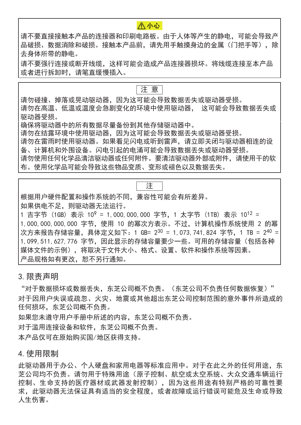请不要直接接触本产品的连接器和印刷电路板。由于人体等产生的静电,可能会导致产 品破损、数据消除和破损。接触本产品前,请先用手触摸身边的金属(门把手等),除 去身体所带的静电。

**八小心** 

请不要强行连接或断开线缆,这样可能会造成产品连接器损坏。将线缆连接至本产品 或者进行拆卸时,请笔直缓慢插入。

#### 注 意

请勿碰撞、掉落或晃动驱动器,因为这可能会导致数据丢失或驱动器受损。 请勿在高温、低温或温度会急剧变化的环境中使用驱动器, 这可能会导致数据丢失或 驱动器受损。

确保将驱动器中的所有数据尽量备份到其他存储驱动器中。

请勿在结露环境中使用驱动器,因为这可能会导致数据丢失或驱动器受损。

请勿在雷雨时使用驱动器。如果看见闪电或听到雷声,请立即关闭与驱动器相连的设 备、计算机和外围设备。闪电引起的电涌可能会导致数据丢失或驱动器受损。

请勿使用任何化学品清洁驱动器或任何附件。要清洁驱动器外部或附件,请使用干的软 布。使用化学品可能会导致这些物品变质、变形或褪色以及数据丢失。

注

根据用户硬件配置和操作系统的不同,兼容性可能会有所差异。

如果供电不足,则驱动器无法运行。

1 吉字节 (1GB) 表示 10<sup>9</sup> = 1,000,000,000 字节, 1 太字节 (1TB) 表示 10<sup>12</sup> = 1,000,000,000,000 字节,使用 10 的幂次方表示。不过,计算机操作系统使用 2 的幂 次方来报告存储容量, 具体定义如下: 1 GB= 2<sup>30</sup> = 1,073,741,824 字节, 1 TB = 2<sup>40</sup> = 1,099,511,627,776 字节, 因此显示的存储容量要少一些。可用的存储容量(包括各种 媒体文件的示例),将取决于文件大小、格式、设置、软件和操作系统等因素。 产品规格如有更改,恕不另行通知。

3.限责声明

"对于数据损坏或数据丢失,东芝公司概不负责。(东芝公司不负责任何数据恢复)" 对于因用户失误或疏忽、火灾、地震或其他超出东芝公司控制范围的意外事件所造成的 任何损坏,东芝公司概不负责。

如果您未遵守用户手册中所述的内容,东芝公司概不负责。

对于滥用连接设备和软件,东芝公司概不负责。

本产品仅可在原始购买国/地区获得支持。

#### 4.使用限制

此驱动器用于办公、个人硬盘和家用电器等标准应用中。对于在此之外的任何用途,东 芝公司均不负责。请勿用于特殊用途(原子控制、航空或太空系统、大众交通车辆运行 控制、生命支持的医疗器材或武器发射控制),因为这些用途有特别严格的可靠性要 求,此驱动器无法保证具有适当的安全程度,或者故障或运行错误可能危及生命或导致 人生伤害。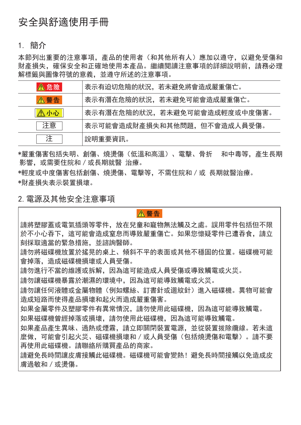# 安全與舒適使用手冊

1. 簡介

本節列出重要的注意事項,產品的使用者(和其他所有人)應加以遵守,以避免受傷和 財產損失,確保安全和正確地使用本產品。繼續閱讀注意事項的詳細說明前,請務必理 解標籤與圖像符號的意義,並遵守所述的注意事項。

| ▲危險           | 表示有迫切危險的狀況,若未避免將會造成嚴重傷亡。     |
|---------------|------------------------------|
| <b>&lt;警告</b> | 表示有潛在危險的狀況,若未避免可能會造成嚴重傷亡。    |
| ∧小心           | 表示有潛在危險的狀況,若未避免可能會造成輕度或中度傷害。 |
| 注意            | 表示可能會造成財產損失和其他問題,但不會造成人員受傷。  |
|               | 說明重要資訊。                      |

\*嚴重傷害包括失明、創傷、燒燙傷(低溫和高溫)、電擊、骨折 和中毒等,產生長期 影響, 或需要住院和 / 或長期就醫 治療。

\*輕度或中度傷害包括創傷、燒燙傷、電擊等,不需住院和/或 長期就醫治療。 \*財產損失表示裝置損壞。

2.電源及其他安全注意事項

#### **八警告**

請將塑膠蓋或電氣插頭等零件,放在兒童和寵物無法觸及之處。誤用零件包括但不限 於不小心吞下,這可能會造成窒息而導致嚴重傷亡。如果您懷疑零件已遭吞食,請立 刻採取適當的緊急措施,並諮詢醫師。

請勿將磁碟機放置於搖晃的桌上、傾斜不平的表面或其他不穩固的位置。磁碟機可能 會掉落,造成磁碟機損壞或人員受傷。

請勿進行不當的維護或拆解,因為這可能造成人員受傷或導致觸電或火災。

請勿讓磁碟機暴露於潮濕的環境中,因為這可能導致觸電或火災。

請勿讓任何液體或金屬物體(例如螺絲、訂書針或迴紋針)進入磁碟機。異物可能會 造成短路而使得產品損壞和起火而造成嚴重傷害。

如果金屬零件及塑膠零件有異常情況,請勿使用此磁碟機,因為這可能導致觸電。 如果磁碟機曾經掉落或損壞,請勿使用此磁碟機,因為這可能導致觸電。

如果產品產生異味、過熱或煙霧,請立即關閉裝置電源,並從裝置拔除纜線。若未這 麼做,可能會引起火災、磁碟機損壞和/或人員受傷(包括燒燙傷和電擊)。請不要 再使用此磁碟機。請聯絡所購買產品的商家。

請避免長時間讓皮膚接觸此磁碟機。磁碟機可能會變熱!避免長時間接觸以免造成皮 膚過敏和/或燙傷。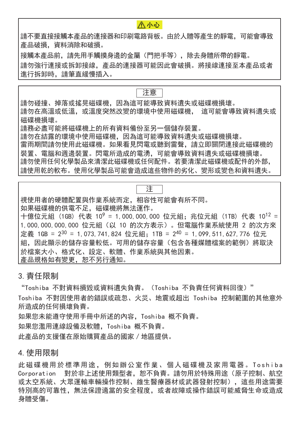#### **八小心**

請不要直接接觸本產品的連接器和印刷電路背板。由於人體等產生的靜電,可能會導致 產品破損,資料消除和破損。

接觸本產品前,請先用手觸摸身邊的金屬(門把手等),除去身體所帶的靜電。 請勿強行連接或拆卸接線,產品的連接器可能因此會破損。將接線連接至本產品或者 進行拆卸時,請筆直緩慢插入。

#### 注意

請勿碰撞、掉落或搖晃磁碟機,因為這可能導致資料遺失或磁碟機損壞。 請勿在高溫或低溫,或溫度突然改變的環境中使用磁碟機, 這可能會導致資料遺失或 磁碟機損壞。

請務必盡可能將磁碟機上的所有資料備份至另一個儲存裝置。

請勿在結露的環境中使用磁碟機,因為這可能導致資料遺失或磁碟機損壞。 雷雨期間請勿使用此磁碟機。如果看見閃電或聽到雷聲,請立即關閉連接此磁碟機的 裝置、電腦和週邊裝置。閃電所造成的電湧,可能會導致資料遺失或磁碟機損壞。 請勿使用任何化學製品來清潔此磁碟機或任何配件。若要清潔此磁碟機或配件的外部, 請使用乾的軟布。使用化學製品可能會造成這些物件的劣化、變形或變色和資料遺失。

### 注

視使用者的硬體配置與作業系統而定,相容性可能會有所不同。

如果磁碟機的供電不足,磁碟機將無法運作。

十億位元組 (1GB) 代表 10<sup>9</sup> = 1,000,000,000 位元組; 兆位元組 (1TB) 代表 10<sup>12</sup> = 1,000,000,000,000 位元組(以 10 的次方表示)。但電腦作業系統使用 2 的次方來 定義 1GB = 2<sup>30</sup> = 1,073,741,824 位元組; 1TB = 2<sup>40</sup> = 1,099,511,627,776 位元 組,因此顯示的儲存容量的用的儲存容量(包含各種媒體檔案的範例)將取決 於檔案大小、格式化、設定、軟體、作業系統與其他因素。 產品規格如有變更,恕不另行通知。

#### 3.責任限制

"Toshiba 不對資料損毀或資料遺失負責。(Toshiba 不負責任何資料回復)"

Toshiba 不對因使用者的錯誤或疏忽、火災、地震或超出 Toshiba 控制範圍的其他意外 所造成的任何損壞負責。

如果您未能遵守使用手冊中所述的內容,Toshiba 概不負責。

如果您濫用連線設備及軟體,Toshiba 概不負責。

此產品的支援僅在原始購買產品的國家/地區提供。

#### 4.使用限制

此磁碟機用於標準用途, 例如辦公室作業、個人磁碟機及家用電器。 Toshiba Corporation 對於非上述使用類型者,恕不負責。請勿用於特殊用途(原子控制、航空 或太空系統、大眾運輸車輛操作控制、維生醫療器材或武器發射控制),這些用途需要 特別高的可靠性,無法保證適當的安全程度,或者故障或操作錯誤可能威脅生命或造成 身體受傷。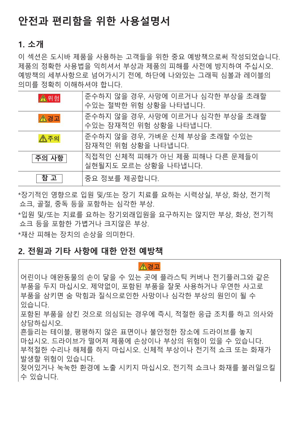# **안전과 편리함을 위한 사용설명서**

### **1. 소개**

이 섹션은 도시바 제품을 사용하는 고객들을 위한 중요 예방책으로써 작성되었습니다. 제품의 정확한 사용법을 익히셔서 부상과 제품의 피해를 사전에 방지하여 주십시오. 예방책의 세부사항으로 넘어가시기 전에, 하단에 나와있는 그래픽 심볼과 레이블의 의미를 정확히 이해하셔야 합니다.

| $\mathbf{A}$ 위험 | 준수하지 않을 경우, 사망에 이르거나 심각한 부상을 초래할<br>수있는 절박한 위험 상황을 나타냅니다.  |
|-----------------|------------------------------------------------------------|
| △경고             | 준수하지 않을 경우, 사망에 이르거나 심각한 부상을 초래할<br>수있는 잠재적인 위험 상황을 나타냅니다. |
| △주의             | 준수하지 않을 경우, 가벼운 신체 부상을 초래할 수있는<br>잠재적인 위험 상황을 나타냅니다.       |
| 주의 사항           | 직접적인 신체적 피해가 아닌 제품 피해나 다른 문제들이<br>실현될지도 모르는 상황을 나타냅니다.     |
| 참 고             | 중요 정보를 제공합니다.                                              |

\*장기적인 영향으로 입원 및/또는 장기 치료를 요하는 시력상실, 부상, 화상, 전기적 쇼크, 골절, 중독 등을 포함하는 심각한 부상.

\*입원 및/또는 치료를 요하는 장기외래입원을 요구하지는 않지만 부상, 화상, 전기적 쇼크 등을 포함한 가볍거나 크지않은 부상.

\*재산 피해는 장치의 손상을 의미한다.

### **2. 전원과 기타 사항에 대한 안전 예방책**

#### ∧경고

어린이나 애완동물의 손이 닿을 수 있는 곳에 플라스틱 커버나 전기플러그와 같은 부품을 두지 마십시오. 제약없이, 포함된 부품을 잘못 사용하거나 우연한 사고로 부품을 삼키면 숨 막힘과 질식으로인한 사망이나 심각한 부상의 원인이 될 수 있습니다.

포함된 부품을 삼킨 것으로 의심되는 경우에 즉시, 적절한 응급 조치를 하고 의사와 상담하십시오.

흔들리는 테이블, 평평하지 않은 표면이나 불안정한 장소에 드라이브를 놓지 마십시오. 드라이브가 떨어져 제품에 손상이나 부상의 위험이 있을 수 있습니다. 부적절한 수리나 해체를 하지 마십시오. 신체적 부상이나 전기적 쇼크 또는 화재가 발생할 위험이 있습니다.

젖어있거나 눅눅한 환경에 노출 시키지 마십시오. 전기적 쇼크나 화재를 불러일으킬 수 있습니다.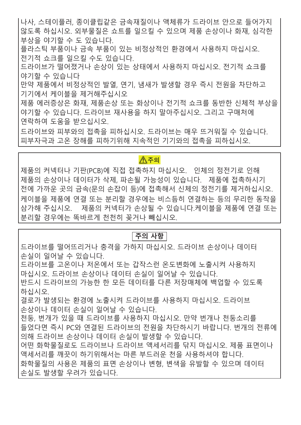나사, 스테이플러, 종이클립같은 금속재질이나 액체류가 드라이브 안으로 들어가지 않도록 하십시오. 외부물질은 쇼트를 일으킬 수 있으며 제품 손상이나 화재, 심각한 부상을 야기할 수 도 있습니다.

플라스틱 부품이나 금속 부품이 있는 비정상적인 환경에서 사용하지 마십시오. 전기적 쇼크를 일으킬 수도 있습니다.

드라이브가 떨어졌거나 손상이 있는 상태에서 사용하지 마십시오. 전기적 쇼크를 야기할 수 있습니다

만약 제품에서 비정상적인 발열, 연기, 냄새가 발생할 경우 즉시 전원을 차단하고 기기에서 케이블을 제거해주십시오

제품 에러증상은 화재, 제품손상 또는 화상이나 전기적 쇼크를 동반한 신체적 부상을 야기할 수 있습니다. 드라이브 재사용을 하지 말아주십시오. 그리고 구매처에 연락하여 도움을 받으십시오.

드라이브와 피부와의 접촉을 피하십시오. 드라이브는 매우 뜨거워질 수 있습니다. 피부자극과 고온 장해를 피하기위해 지속적인 기기와의 접촉을 피하십시오.

#### ∧주의

제품의 커넥터나 기판(PCB)에 직접 접촉하지 마십시오. 인체의 정전기로 인해 제품의 손상이나 데이터가 삭제, 파손될 가능성이 있습니다. 제품에 접촉하시기 전에 가까운 곳의 금속(문의 손잡이 등)에 접촉해서 신체의 정전기를 제거하십시오. 케이블을 제품에 연결 또는 분리할 경우에는 비스듬히 연결하는 등의 무리한 동작을 삼가해 주십시오. 제품의 커넥터가 손상될 수 있습니다.케이블을 제품에 연결 또는 분리할 경우에는 똑바르게 천천히 꽂거나 빼십시오.

#### **주의 사항**

드라이브를 떨어뜨리거나 충격을 가하지 마십시오. 드라이브 손상이나 데이터 손실이 일어날 수 있습니다.

드라이브를 고온이나 저온에서 또는 갑작스런 온도변화에 노출시켜 사용하지 마십시오. 드라이브 손상이나 데이터 손실이 일어날 수 있습니다.

반드시 드라이브의 가능한 한 모든 데이터를 다른 저장매체에 백업할 수 있도록 하십시오.

결로가 발생되는 환경에 노출시켜 드라이브를 사용하지 마십시오. 드라이브 손상이나 데이터 손실이 일어날 수 있습니다.

천둥, 번개가 있을 때 드라이브를 사용하지 마십시오. 만약 번개나 천둥소리를 들었다면 즉시 PC와 연결된 드라이브의 전원을 차단하시기 바랍니다. 번개의 전류에 의해 드라이브 손상이나 데이터 손실이 발생할 수 있습니다.

어떤 화학물질로도 드라이브나 드라이브 액세서리를 닦지 마십시오. 제품 표면이나 액세서리를 깨끗이 하기위해서는 마른 부드러운 천을 사용하셔야 합니다.

화학물질의 사용은 제품의 표면 손상이나 변형, 변색을 유발할 수 있으며 데이터 손실도 발생할 우려가 있습니다.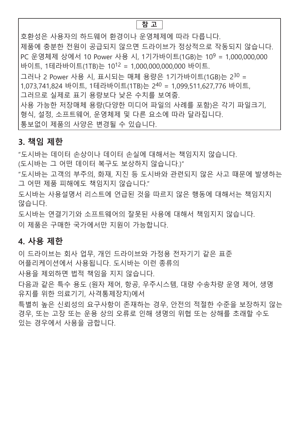#### **참 고**

호환성은 사용자의 하드웨어 환경이나 운영체제에 따라 다릅니다. 제품에 충분한 전원이 공급되지 않으면 드라이브가 정상적으로 작동되지 않습니다. PC 운영체제 상에서 10 Power 사용 시, 1기가바이트(1GB)는 109 = 1,000,000,000 바이트, 1테라바이트(1TB)는 1012 = 1,000,000,000,000 바이트. 그러나 2 Power 사용 시, 표시되는 매체 용량은 1기가바이트(1GB)는 230 = 1,073,741,824 바이트, 1테라바이트(1TB)는 240 = 1,099,511,627,776 바이트, 그러므로 실제로 표기 용량보다 낮은 수치를 보여줌. 사용 가능한 저장매체 용량(다양한 미디어 파일의 사례를 포함)은 각기 파일크기, 형식, 설정, 소프트웨어, 운영체제 및 다른 요소에 따라 달라집니다. 통보없이 제품의 사양은 변경될 수 있습니다.

### **3. 책임 제한**

"도시바는 데이터 손상이나 데이터 손실에 대해서는 책임지지 않습니다.

(도시바는 그 어떤 데이터 복구도 보상하지 않습니다.)"

"도시바는 고객의 부주의, 화재, 지진 등 도시바와 관련되지 않은 사고 때문에 발생하는 그 어떤 제품 피해에도 책임지지 않습니다."

도시바는 사용설명서 리스트에 언급된 것을 따르지 않은 행동에 대해서는 책임지지 않습니다.

도시바는 연결기기와 소프트웨어의 잘못된 사용에 대해서 책임지지 않습니다.

이 제품은 구매한 국가에서만 지원이 가능합니다.

### **4. 사용 제한**

이 드라이브는 회사 업무, 개인 드라이브와 가정용 전자기기 같은 표준 어플리케이션에서 사용됩니다. 도시바는 이런 종류의

사용을 제외하면 법적 책임을 지지 않습니다.

다음과 같은 특수 용도 (원자 제어, 항공, 우주시스템, 대량 수송차량 운영 제어, 생명 유지를 위한 의료기기, 사격통제장치)에서

특별히 높은 신뢰성의 요구사항이 존재하는 경우, 안전의 적절한 수준을 보장하지 않는 경우, 또는 고장 또는 운용 상의 오류로 인해 생명의 위협 또는 상해를 초래할 수도 있는 경우에서 사용을 금합니다.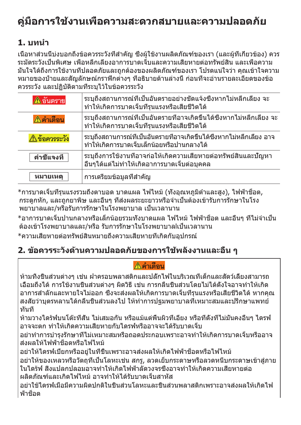# **คู่มือการใช้งานเพื่อความสะดวกสบายและความปลอดภัย**

# **1. บทนำ**

เนื้อหาส่วนนี้บ่งบอกถึงข้อควรระวังที่สำ คัญ ซึ่งผู้ใช้งานผลิตภัณฑ์ของเรา (และผู้ที่เกี่ยวข้อง) ควร ระมัดระวังเป็นพิเศษ เพื่อหลีกเลี่ยงอาการบาดเจ็บและความเสียหายต่อทรัพย์สิน และเพื่อความ มั่นใจได้ถึงการใช้งานที่ปลอดภัยและถูกต้องของผลิตภัณฑ์ของเรา โปรดแน่ใจว่า คุณเข้าใจความ หมายของป้ายและสัญลักษณ์กราฟิกต่างๆ ที่อธิบายด้านล่างนี้ ก่อนที่จะอ่านรายละเอียดของข้อ ควรระวัง และปฏิบัติตามที่ระบุไว้ในข้อควรระวัง

| ∆อันตราย         | ระบถึงสถานการณ์ที่เป็นอันตรายอย่างชัดแจ้งซึ่งหากไม่หลีกเลียง จะ<br>ทำให้เกิดการบาดเจ็บที่รุนแรงหรือเสียชีวิตได้       |
|------------------|-----------------------------------------------------------------------------------------------------------------------|
| ∆คำเตือน         | ระบุถึงสถานการณ์ที่เป็นอันตรายที่อาจเกิดขึ้นได้ซึ่งหากไม่หลีกเลียง จะ<br>ทำให้เกิดการบาดเจ็บที่รุนแรงหรือเสียชีวิตได้ |
| ∆ข้อควรระวัง     | ระบถึงสถานการณ์ที่เป็นอันตรายที่อาจเกิดขึ้นได้ซึ่งหากไม่หลีกเลียง อาจ<br>ทำให้เกิดการบาดเจ็บเล็กน้อยหรือปานกลางได้    |
| คำชี้แจงที       | ระบุถึงการใช้งานที่อาจก่อให้เกิดความเสียหายต่อทรัพย์สินและปัญหา<br>อื่นๆได้แต่ไม่ทำให้เกิดอาการบาดเจ็บต่อบุคคล        |
| <b>หมายเห</b> ตุ | การเตรียมข้อมูลที่สำคัญ                                                                                               |

 $^*$ การบาดเจ็บที่รุนแรงรวมถึงตาบอด บาดแผล ไฟไหม้ (ทั้งอุณหภูมิตำและสูง), ไฟฟ้าช็อต, กระดูกหัก, และถูกยาพิษ และอื่นๆ ที่ส่งผลระยะยาวหรือจำ เป็นต้องเข้ารับการรักษาในโรง พยาบาลและ/หรือรับการรักษาในโรงพยาบาล เป็นเวลานาน

\*อาการบาดเจ็บปานกลางหรือเล็กน้อยรวมทั้งบาดแผล ไฟไหม้ ไฟฟ้าช็อต และอื่นๆ ที่ไม่จำ เป็น ต้องเข้าโรงพยาบาลและ/หรือ รับการรักษาในโรงพยาบาลlเป็นเวลานาน

 $*$ ความเสียหายต่อทรัพย์สินหมายถึงความเสียหายที่เกิดกับอปกรณ์

# **2. ข้อควรระวังด้านความปลอดภัยของการใช้พลังงานและอื่น ๆ**

# | A คำเตือน

ห้ามทิ้งชิ้นส่วนต่างๆ เช่น ฝาครอบพลาสติกและปลั๊กไฟในบริเวณที่เด็กและสัตว์เลี้ยงสามารถ เอื้อมถึงได้ การใช้งานชิ้นส่วนต่างๆ ผิดวิธี เช่น การกลืนชิ้นส่วนโดยไม่ได้ตั้งใจอาจทำ ให้เกิด อาการสำ ลักและหายใจไม่ออก ซึ่งจะส่งผลให้เกิดการบาดเจ็บที่รุนแรงหรือเสียชีวิตได้ หากคุณ ี่สงสัยว่าบุตรหลานได้กลืนชิ้นส่วนลงไป ให้ทำการปรมพยาบาลที่เหมาะสมและปรึกษาแพทย์ ทันที

ห้ามวางไดร้ฟ์บนโต๊ะที่สั่น ไม่เสมอกัน หรือแม้แต่พื้นผิวที่เอียง หรือที่ตั้งที่ไม่มั่นคงอื่นๆ ไดรฟ์ อาจจะตก ทำ ให้เกิดความเสียหายกับไดรฟ์หรืออาจจะได้รับบาดเจ็บ

ื่อย่าทำการบำรงรักษาที่ไม่เหมาะสมหรือถอดประกอบเพราะอาจทำให้เกิดการบาดเจ็บหรืออาจ ส่งผลให้ไฟฟ้าช็อตหรือไฟไหม้

อย่าให้ไดรฟ์เปียกหรืออยู่ในที่ชื้นเพราะอาจส่งผลให้เกิดไฟฟ้าช็อตหรือไฟไหม้ อย่าให้ของเหลวหรือวัตถุที่เป็นโลหะเช่น สกรู, ลวดเย็บกระดาษหรือลวดหนีบกระดาษเข้าสู่ภาย ในไดร้ฟ์ สิ่งแปลกปลอมอาจทำ ให้เกิดไฟฟ้าลัดวงจรซึ่งอาจทำ ให้เกิดความเสียหายต่อ ผลิตภัณฑ์และเกิดไฟไหม้ อาจทำ ให้ได้รับบาดเจ็บสาหัส

อย่าใช้ไดรฟ์เมื่อมีความผิดปกติในชิ้นส่วนโลหะและชิ้นส่วนพลาสติกเพราะอาจส่งผลให้เกิดไฟ ฟ้าช็อต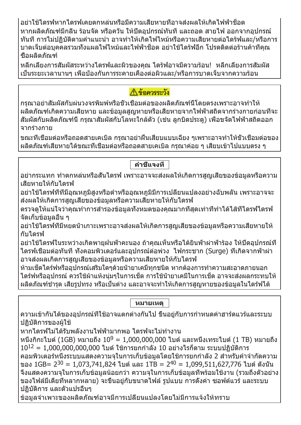อย่าใช้ไดรฟ์หากไดรฟ์เคยตกหล่นหรือมีความเสียหายที่อาจส่งผลให้เกิดไฟฟ้าช็อต หากผลิตภัณฑ์มีกลิ่น ร้อนจัด หรือควัน ให้ปิดอุปกรณ์ทันที และถอด สายไฟ ออกจากอุปกรณ์ ทันที การไม่ปฏิบัติตามคำ แนะนำ อาจทำ ให้เกิดไฟไหม้หรือความเสียหายต่อไดร้ฟ์และ/หรือการ บาดเจ็บต่อบุคคลรวมทั้งแผลไฟไหม้และไฟฟ้าช็อต อย่าใช้ไดร้ฟ์อีก โปรดติดต่อร้านค้าที่คุณ ซื้อผลิตภัณฑ์

หลีกเลี่ยงการสัมผัสระหว่างไดรฟ์และผิวของคุณ ไดร้ฟ์อาจมีความร้อน! หลีกเลี่ยงการสัมผัส เป็นระยะเวลานานๆ เพื่อป้องกันการระคายเคืองต่อผิวและ/หรือการบาดเจ็บจากความร้อน

## ∧ิ ข้อควรระวัง

กรุณาอย่าสัมผัสกับผ่นวงจรพิมพ์หรือขั้วเชื่อมต่อของผลิตภัณฑ์นี้โดยตรงเพราะอาจทำ ให้ ผลิตภัณฑ์เกิดความเสียหาย และข้อมูลสูญหายหรือเสียหายจากไฟฟ้าสถิตจากร่างกายก่อนที่จะ ี่สัมผัสกับผลิตภัณฑ์นี้ กรณาสัมผัสกับโลหะใกล้ตัว (เช่น ลกบิดประตฺ) เพื่อขจัดไฟฟ้าสถิตออก จากร่างกาย

ขณะที่เชื่อมต่อหรือถอดสายเคเบิล กรุณาอย่าฝืนเสียบแบบเฉียง ๆเพราะอาจทำ ให้ขั้วเชื่อมต่อของ ผลิตภัณฑ์เสียหายได้ขณะที่เชื่อมต่อหรือถอดสายเคเบิล กรุณาค่อย ๆ เสียบเข้าไปแบบตรง ๆ

**คำ ชี้แจงที่**

ื่อย่ากระแทก ทำตกหล่นหรือสันไดรฟ์ เพราะอาจจะส่งผลให้เกิดการสูญเสียของข้อมูลหรือความ เสียหายให้กับไดรฟ์

ื่อย่าใช้ไดรฟ์ที่ที่มีอุณหภูมิสูงหรือตำหรืออุณหภูมิมีการเปลี่ยนแปลงอย่างฉับพลัน เพราะอาจจะ ส่งผลให้เกิดการสูญเสียของข้อมูลหรือความเสียหายให้กับไดรฟ์

ิตรวจดให้แน่ใจว่าคุณทำการสำรองข้อมูลทั้งหมดของคุณมากที่สุดเท่าที่ทำได้ไส้ที่ไดรฟ์ไดรฟ์ จัดเก็บข้อมูลอื่น ๆ

อย่าใช้ไดรฟ์ที่มีหยดน้ำ เกาะเพราะอาจส่งผลให้เกิดการสูญเสียของข้อมูลหรือความเสียหายให้ กับไดรฟ์

อย่าใช้ไดรฟ์ในระหว่างเกิดพายุฝนฟ้าคะนอง ถ้าคุณเห็นหรือได้ยินฟ้าผ่าฟ้าร้อง ให้ปิดอุปกรณ์ที่ ไดรฟ์เชื่อมต่อทันที ทั้งคอมพิวเตอร์และอุปกรณ์ต่อพ่วง ไฟกระชาก (Surge) ที่เกิดจากฟ้าผ่า อาจส่งผลเกิดการสูญเสียของข้อมูลหรือความเสียหายให้กับไดรฟ์

ห้ามเช็ดไดร์ฟหรืออุปกรณ์เสริมใดๆด้วยน้ำยาเคมีทุกชนิด หากต้องการทำความสะอาดภายนอก ไดร์ฟหรืออุปกรณ์ ควรใช้ผ้าแห้งนุ่มๆในการเช็ด การใช้น้ำ ยาเคมีในการเช็ด อาจจะส่งผลกระทบให้ ุผลิตภัณฑ์ชำรด เสียรปทรง หรือเป็นด่าง และอาจจะทำให้เกิดการสูญหายของข้อมูลในไดร์ฟได้

**หมายเหตุ**

ความเข้ากันได้ของอุปกรณ์ที่ใช้อาจแตกต่างกันไป ขึ้นอยู่กับการกำ หนดค่าฮาร์ดแวร์และระบบ ปฏิบัติการของผู้ใช้

้หากไดรฟ์ไม่ได้รับพลังงานไฟฟ้ามากพอ ไดรฟ์จะไม่ทำงาน

หนึ่งกิกะไบต์ (1GB) หมายถึง 10<sup>9</sup> = 1,000,000,000 ไบต์ และหนึ่งเทระไบต์ (1 TB) หมายถึง  $10^{12} = 1,000,000,000,000$  ไบต์ ใช้การยกกำลัง  $10$  อย่างไรก็ตาม ระบบปฏิบัติการ ้คอมพิวเตอร์หนึ่งระบบแสดงความจในการเก็บข้อมูลโดยใช้การยกกำลัง 2 สำหรับคำจำกัดความ ของ 1GB= 2<sup>30</sup> = 1,073,741,824 ไบต์ และ 1TB = 2<sup>40</sup> = 1,099,511,627,776 ไบต์ ดังนั้น จึงแสดงความจุในการเก็บข้อมูลน้อยกว่า ความจุในการเก็บข้อมูลที่พร้อมใช้งาน (รวมถึงตัวอย่าง ของไฟล์มีเดียที่หลากหลาย) จะขึ้นอยู่กับขนาดไฟล์ รูปแบบ การตั้งค่า ซอฟต์แวร์ และระบบ ปฏิบัติการ และตัวแปรอื่นๆ

ข้อมูลจำ เพาะของผลิตภัณฑ์อาจมีการเปลี่ยนแปลงโดยไม่มีการแจ้งให้ทราบ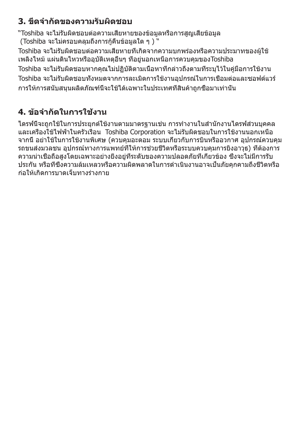# **3. ขีดจำ กัดของความรับผิดชอบ**

"Toshiba จะไม่รับผิดชอบต่อความเสียหายของข้อมูลหรือการสูญเสียข้อมูล  $($ Toshiba จะไม่ครอบคลุมถึงการกู้คืนข้อมูลใด ๆ  $)$  "

Toshiba จะไม่รับผิดชอบต่อความเสียหายที่เกิดจากความบกพร่องหรือความประมาทของผู้ใช้ เพลิงไหม้ แผ่นดินไหวหรืออุบัติเหตุอื่นๆ ที่อยู่นอกเหนือการควบคุมของToshiba Toshiba จะไม่รับผิดชอบหากคุณไม่ปฏิบัติตามเนื้อหาที่กล่าวถึงตามที่ระบุไว้ในคู่มือการใช้งาน Toshiba จะไม่รับผิดชอบทั้งหมดจากการละเมิดการใช้งานอุปกรณ์ในการเชื่อมต่อและซอฟต์แวร์ การให้การสนับสนุนผลิตภัณฑ์นี้จะใช้ได้เฉพาะในประเทศที่สินค้าถูกซื้อมาเท่านั้น

# **4. ข้อจำ กัดในการใช้งาน**

ีใดรฟ์นี้จะถูกใช้ในการประยุกต์ใช้งานตามมาตรฐานเช่น การทำงานในสำนักงานไดรฟ์ส่วนบุคคล และเครื่องใช้ไฟฟ้าในครัวเรือน Toshiba Corporation จะไม่รับผิดชอบในการใช้งานนอกเหนือ จากนี้ อย่าใช้ในการใช้งานพิเศษ (ควบคุมอะตอม ระบบเกี่ยวกับการบินหรืออวกาศ อุปกรณ์ควบคุม ุรถขนส่งมวลชน อปกรณ์ทางการแพทย์ที่ให้การช่วยชีวิตหรือระบบควบคมการยิงอาวุธ) ที่ต้องการ ความน่าเชื่อถือสูงโดยเฉพาะอย่างยิ่งอยู่ที่ระดับของความปลอดภัยที่เกี่ยวข้อง ซึ่งจะไม่มีการรับ ี ประกัน หรือที่ซึ่งความล้มเหลวหรือความผิดพลาดในการดำเนินงานอาจเป็นภัยคกคามถึงชีวิตหรือ ก่อให้เกิดการบาดเจ็บทางร่างกาย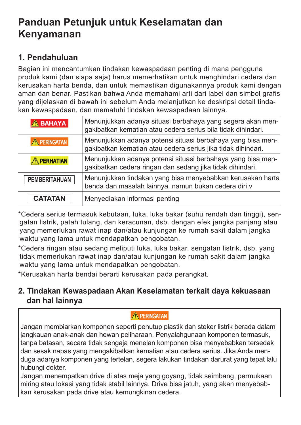# **Panduan Petunjuk untuk Keselamatan dan Kenyamanan**

### **1. Pendahuluan**

Bagian ini mencantumkan tindakan kewaspadaan penting di mana pengguna produk kami (dan siapa saja) harus memerhatikan untuk menghindari cedera dan kerusakan harta benda, dan untuk memastikan digunakannya produk kami dengan aman dan benar. Pastikan bahwa Anda memahami arti dari label dan simbol grafis yang dijelaskan di bawah ini sebelum Anda melanjutkan ke deskripsi detail tindakan kewaspadaan, dan mematuhi tindakan kewaspadaan lainnya.

| <b>A BAHAYA</b>      | Menunjukkan adanya situasi berbahaya yang segera akan men-<br>gakibatkan kematian atau cedera serius bila tidak dihindari.  |
|----------------------|-----------------------------------------------------------------------------------------------------------------------------|
| <b>A PERINGATAN</b>  | Menunjukkan adanya potensi situasi berbahaya yang bisa men-<br>gakibatkan kematian atau cedera serius jika tidak dihindari. |
| <b>A PERHATIAN</b>   | Menunjukkan adanya potensi situasi berbahaya yang bisa men-<br>gakibatkan cedera ringan dan sedang jika tidak dihindari.    |
| <b>PEMBERITAHUAN</b> | Menunjukkan tindakan yang bisa menyebabkan kerusakan harta<br>benda dan masalah lainnya, namun bukan cedera diri.v          |
| <b>CATATAN</b>       | Menyediakan informasi penting                                                                                               |

\*Cedera serius termasuk kebutaan, luka, luka bakar (suhu rendah dan tinggi), sengatan listrik, patah tulang, dan keracunan, dsb. dengan efek jangka panjang atau yang memerlukan rawat inap dan/atau kunjungan ke rumah sakit dalam jangka waktu yang lama untuk mendapatkan pengobatan.

\*Cedera ringan atau sedang meliputi luka, luka bakar, sengatan listrik, dsb. yang tidak memerlukan rawat inap dan/atau kunjungan ke rumah sakit dalam jangka waktu yang lama untuk mendapatkan pengobatan.

\*Kerusakan harta bendai berarti kerusakan pada perangkat.

### **2. Tindakan Kewaspadaan Akan Keselamatan terkait daya kekuasaan dan hal lainnya**

#### **A PERINGATAN**

Jangan membiarkan komponen seperti penutup plastik dan steker listrik berada dalam jangkauan anak-anak dan hewan peliharaan. Penyalahgunaan komponen termasuk, tanpa batasan, secara tidak sengaja menelan komponen bisa menyebabkan tersedak dan sesak napas yang mengakibatkan kematian atau cedera serius. Jika Anda menduga adanya komponen yang tertelan, segera lakukan tindakan darurat yang tepat lalu hubungi dokter.

Jangan menempatkan drive di atas meja yang goyang, tidak seimbang, permukaan miring atau lokasi yang tidak stabil lainnya. Drive bisa jatuh, yang akan menyebabkan kerusakan pada drive atau kemungkinan cedera.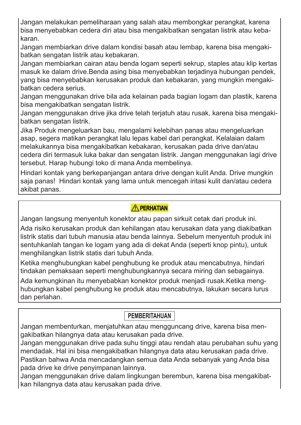Jangan melakukan pemeliharaan yang salah atau membongkar perangkat, karena bisa menyebabkan cedera diri atau bisa mengakibatkan sengatan listrik atau kebakaran.

Jangan membiarkan drive dalam kondisi basah atau lembap, karena bisa mengakibatkan sengatan listrik atau kebakaran.

Jangan membiarkan cairan atau benda logam seperti sekrup, staples atau klip kertas masuk ke dalam drive.Benda asing bisa menyebabkan terjadinya hubungan pendek, yang bisa menyebabkan kerusakan produk dan kebakaran, yang mungkin mengakibatkan cedera serius.

Jangan menggunakan drive bila ada kelainan pada bagian logam dan plastik, karena bisa mengakibatkan sengatan listrik.

Jangan menggunakan drive jika drive telah terjatuh atau rusak, karena bisa mengakibatkan sengatan listrik.

Jika Produk mengeluarkan bau, mengalami kelebihan panas atau mengeluarkan asap, segera matikan perangkat lalu lepas kabel dari perangkat. Kelalaian dalam melakukannya bisa mengakibatkan kebakaran, kerusakan pada drive dan/atau cedera diri termasuk luka bakar dan sengatan listrik. Jangan menggunakan lagi drive tersebut. Harap hubungi toko di mana Anda membelinya.

Hindari kontak yang berkepanjangan antara drive dengan kulit Anda. Drive mungkin saja panas! Hindari kontak yang lama untuk mencegah iritasi kulit dan/atau cedera akibat panas.

#### **A PERHATIAN**

Jangan langsung menyentuh konektor atau papan sirkuit cetak dari produk ini.

Ada risiko kerusakan produk dan kehilangan atau kerusakan data yang diakibatkan listrik statis dari tubuh manusia atau benda lainnya. Sebelum menyentuh produk ini sentuhkanlah tangan ke logam yang ada di dekat Anda (seperti knop pintu), untuk menghilangkan listrik statis dari tubuh Anda.

Ketika menghubungkan kabel penghubung ke produk atau mencabutnya, hindari tindakan pemaksaan seperti menghubungkannya secara miring dan sebagainya.

Ada kemungkinan itu menyebabkan konektor produk menjadi rusak.Ketika menghubungkan kabel penghubung ke produk atau mencabutnya, lakukan secara lurus dan perlahan.

### **PEMBERITAHUAN**

Jangan membenturkan, menjatuhkan atau mengguncang drive, karena bisa mengakibatkan hilangnya data atau kerusakan pada drive.

Jangan menggunakan drive pada suhu tinggi atau rendah atau perubahan suhu yang mendadak. Hal ini bisa mengakibatkan hilangnya data atau kerusakan pada drive. Pastikan bahwa Anda mencadangkan semua data Anda sebanyak yang Anda bisa pada drive ke drive penyimpanan lainnya.

Jangan menggunakan drive dalam lingkungan berembun, karena bisa mengakibatkan hilangnya data atau kerusakan pada drive.